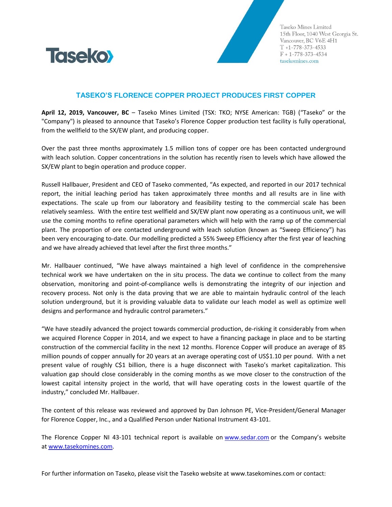

Taseko Mines Limited 15th Floor, 1040 West Georgia St. Vancouver, BC V6E 4H1  $T + 1 - 778 - 373 - 4533$  $F + 1 - 778 - 373 - 4534$ tasekomines.com

## **TASEKO'S FLORENCE COPPER PROJECT PRODUCES FIRST COPPER**

**April 12, 2019, Vancouver, BC** – Taseko Mines Limited (TSX: TKO; NYSE American: TGB) ("Taseko" or the "Company") is pleased to announce that Taseko's Florence Copper production test facility is fully operational, from the wellfield to the SX/EW plant, and producing copper.

Over the past three months approximately 1.5 million tons of copper ore has been contacted underground with leach solution. Copper concentrations in the solution has recently risen to levels which have allowed the SX/EW plant to begin operation and produce copper.

Russell Hallbauer, President and CEO of Taseko commented, "As expected, and reported in our 2017 technical report, the initial leaching period has taken approximately three months and all results are in line with expectations. The scale up from our laboratory and feasibility testing to the commercial scale has been relatively seamless. With the entire test wellfield and SX/EW plant now operating as a continuous unit, we will use the coming months to refine operational parameters which will help with the ramp up of the commercial plant. The proportion of ore contacted underground with leach solution (known as "Sweep Efficiency") has been very encouraging to-date. Our modelling predicted a 55% Sweep Efficiency after the first year of leaching and we have already achieved that level after the first three months."

Mr. Hallbauer continued, "We have always maintained a high level of confidence in the comprehensive technical work we have undertaken on the in situ process. The data we continue to collect from the many observation, monitoring and point-of-compliance wells is demonstrating the integrity of our injection and recovery process. Not only is the data proving that we are able to maintain hydraulic control of the leach solution underground, but it is providing valuable data to validate our leach model as well as optimize well designs and performance and hydraulic control parameters."

"We have steadily advanced the project towards commercial production, de-risking it considerably from when we acquired Florence Copper in 2014, and we expect to have a financing package in place and to be starting construction of the commercial facility in the next 12 months. Florence Copper will produce an average of 85 million pounds of copper annually for 20 years at an average operating cost of US\$1.10 per pound. With a net present value of roughly C\$1 billion, there is a huge disconnect with Taseko's market capitalization. This valuation gap should close considerably in the coming months as we move closer to the construction of the lowest capital intensity project in the world, that will have operating costs in the lowest quartile of the industry," concluded Mr. Hallbauer.

The content of this release was reviewed and approved by Dan Johnson PE, Vice-President/General Manager for Florence Copper, Inc., and a Qualified Person under National Instrument 43-101.

The Florence Copper NI 43-101 technical report is available on [www.sedar.com](http://www.sedar.com/) or the Company's website at [www.tasekomines.com.](http://www.tasekomines.com/)

For further information on Taseko, please visit the Taseko website at [www.tasekomines.com](http://www.tasekomines.com/) or contact: